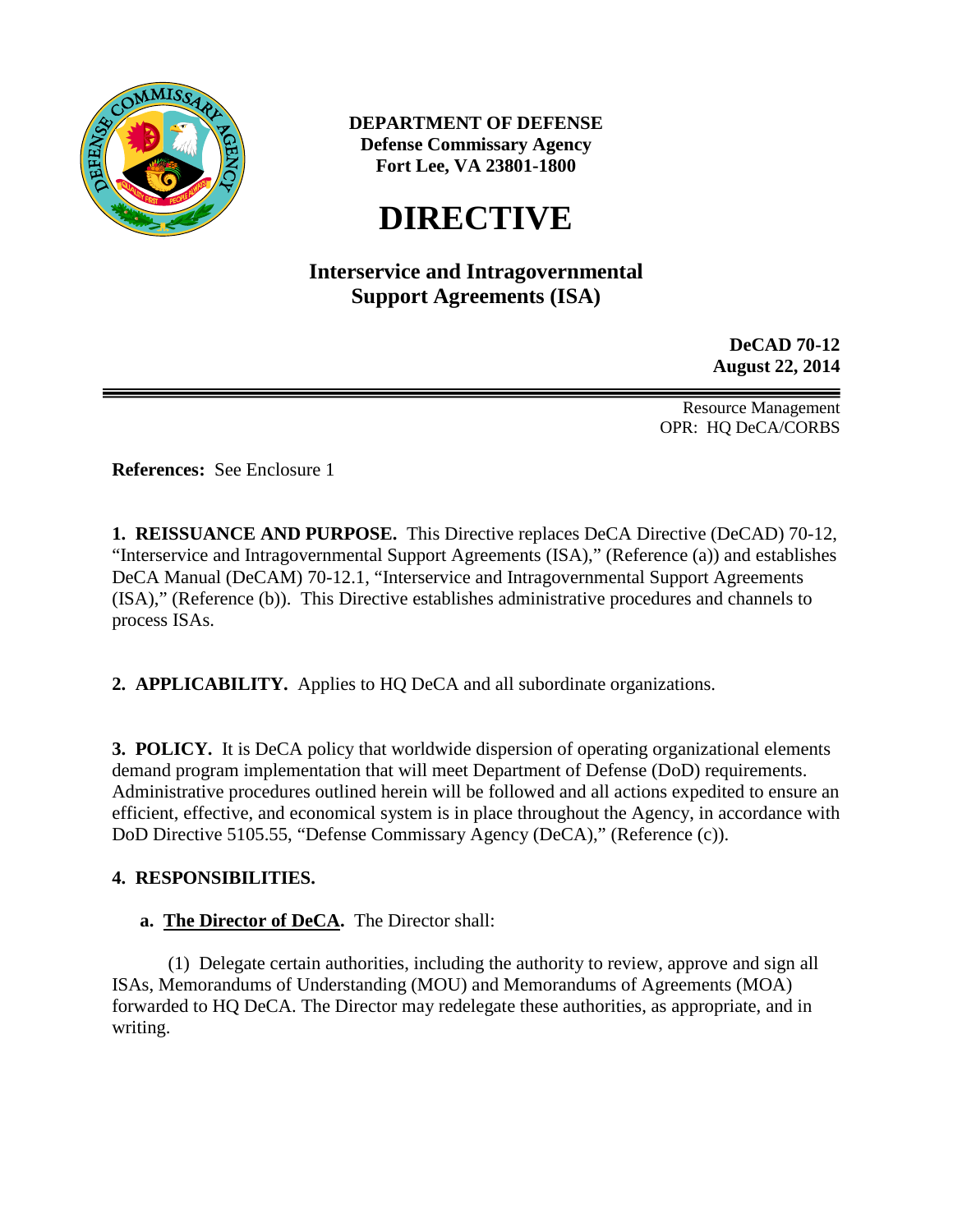

**DEPARTMENT OF DEFENSE Defense Commissary Agency Fort Lee, VA 23801-1800**

# **DIRECTIVE**

# **Interservice and Intragovernmental Support Agreements (ISA)**

**DeCAD 70-12 August 22, 2014**

Resource Management OPR: HQ DeCA/CORBS

**References:** See Enclosure 1

**1. REISSUANCE AND PURPOSE.** This Directive replaces DeCA Directive (DeCAD) 70-12, "Interservice and Intragovernmental Support Agreements (ISA)," (Reference (a)) and establishes DeCA Manual (DeCAM) 70-12.1, "Interservice and Intragovernmental Support Agreements (ISA)," (Reference (b)). This Directive establishes administrative procedures and channels to process ISAs.

**2. APPLICABILITY.** Applies to HQ DeCA and all subordinate organizations.

**3. POLICY.** It is DeCA policy that worldwide dispersion of operating organizational elements demand program implementation that will meet Department of Defense (DoD) requirements. Administrative procedures outlined herein will be followed and all actions expedited to ensure an efficient, effective, and economical system is in place throughout the Agency, in accordance with DoD Directive 5105.55, "Defense Commissary Agency (DeCA)," (Reference (c)).

## **4. RESPONSIBILITIES.**

**a. The Director of DeCA.** The Director shall:

(1) Delegate certain authorities, including the authority to review, approve and sign all ISAs, Memorandums of Understanding (MOU) and Memorandums of Agreements (MOA) forwarded to HQ DeCA. The Director may redelegate these authorities, as appropriate, and in writing.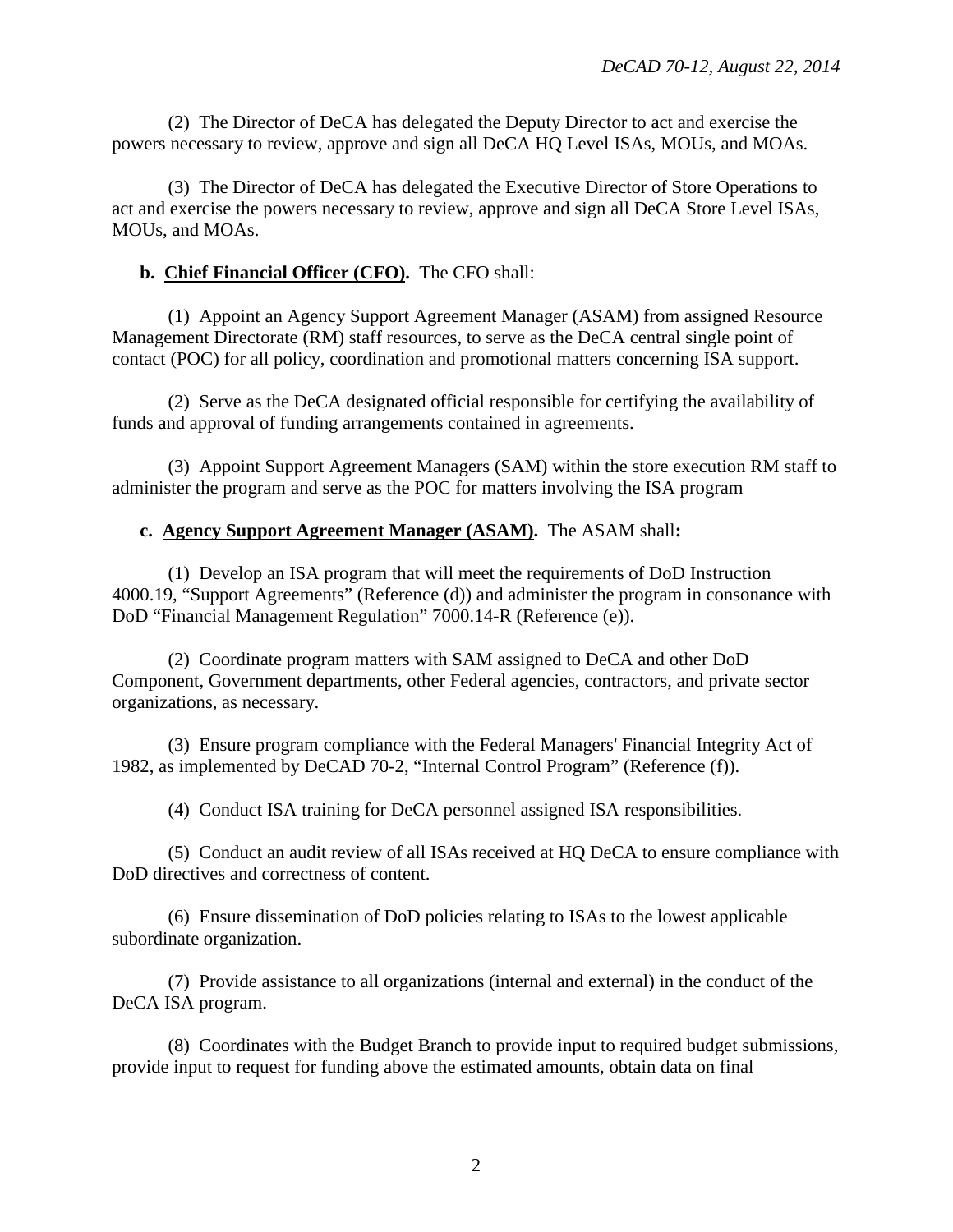(2) The Director of DeCA has delegated the Deputy Director to act and exercise the powers necessary to review, approve and sign all DeCA HQ Level ISAs, MOUs, and MOAs.

(3) The Director of DeCA has delegated the Executive Director of Store Operations to act and exercise the powers necessary to review, approve and sign all DeCA Store Level ISAs, MOUs, and MOAs.

#### **b. Chief Financial Officer (CFO).** The CFO shall:

(1) Appoint an Agency Support Agreement Manager (ASAM) from assigned Resource Management Directorate (RM) staff resources, to serve as the DeCA central single point of contact (POC) for all policy, coordination and promotional matters concerning ISA support.

(2) Serve as the DeCA designated official responsible for certifying the availability of funds and approval of funding arrangements contained in agreements.

(3) Appoint Support Agreement Managers (SAM) within the store execution RM staff to administer the program and serve as the POC for matters involving the ISA program

#### **c. Agency Support Agreement Manager (ASAM).** The ASAM shall**:**

(1) Develop an ISA program that will meet the requirements of DoD Instruction 4000.19, "Support Agreements" (Reference (d)) and administer the program in consonance with DoD "Financial Management Regulation" 7000.14-R (Reference (e)).

(2) Coordinate program matters with SAM assigned to DeCA and other DoD Component, Government departments, other Federal agencies, contractors, and private sector organizations, as necessary.

(3) Ensure program compliance with the Federal Managers' Financial Integrity Act of 1982, as implemented by DeCAD 70-2, "Internal Control Program" (Reference (f)).

(4) Conduct ISA training for DeCA personnel assigned ISA responsibilities.

(5) Conduct an audit review of all ISAs received at HQ DeCA to ensure compliance with DoD directives and correctness of content.

(6) Ensure dissemination of DoD policies relating to ISAs to the lowest applicable subordinate organization.

(7) Provide assistance to all organizations (internal and external) in the conduct of the DeCA ISA program.

(8) Coordinates with the Budget Branch to provide input to required budget submissions, provide input to request for funding above the estimated amounts, obtain data on final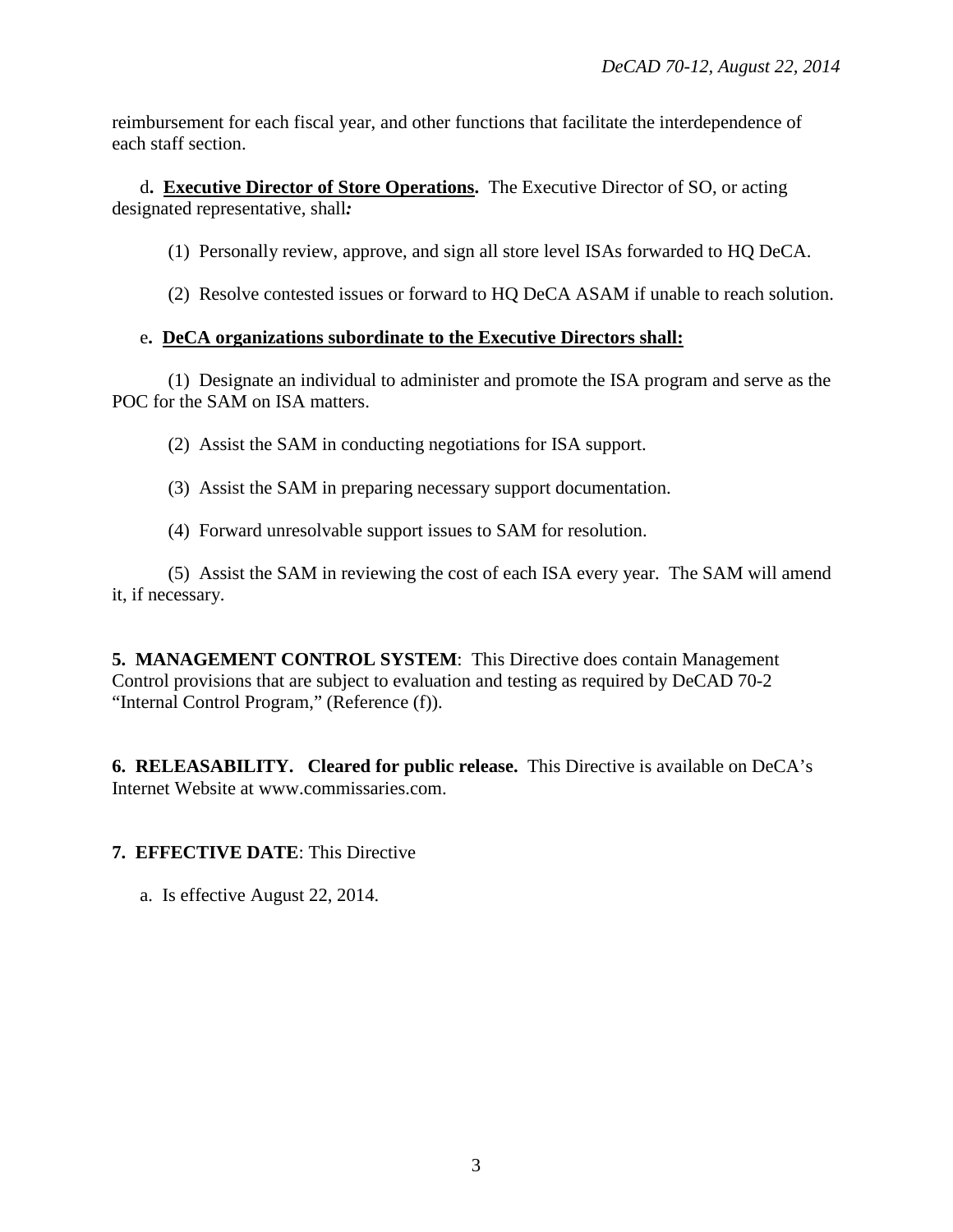reimbursement for each fiscal year, and other functions that facilitate the interdependence of each staff section.

d**. Executive Director of Store Operations.** The Executive Director of SO, or acting designated representative, shall*:* 

- (1) Personally review, approve, and sign all store level ISAs forwarded to HQ DeCA.
- (2) Resolve contested issues or forward to HQ DeCA ASAM if unable to reach solution.

## e**. DeCA organizations subordinate to the Executive Directors shall:**

(1) Designate an individual to administer and promote the ISA program and serve as the POC for the SAM on ISA matters.

(2) Assist the SAM in conducting negotiations for ISA support.

- (3) Assist the SAM in preparing necessary support documentation.
- (4) Forward unresolvable support issues to SAM for resolution.

(5) Assist the SAM in reviewing the cost of each ISA every year. The SAM will amend it, if necessary.

**5. MANAGEMENT CONTROL SYSTEM**: This Directive does contain Management Control provisions that are subject to evaluation and testing as required by DeCAD 70-2 "Internal Control Program," (Reference (f)).

**6. RELEASABILITY. Cleared for public release.** This Directive is available on DeCA's Internet Website at www.commissaries.com.

# **7. EFFECTIVE DATE**: This Directive

a. Is effective August 22, 2014.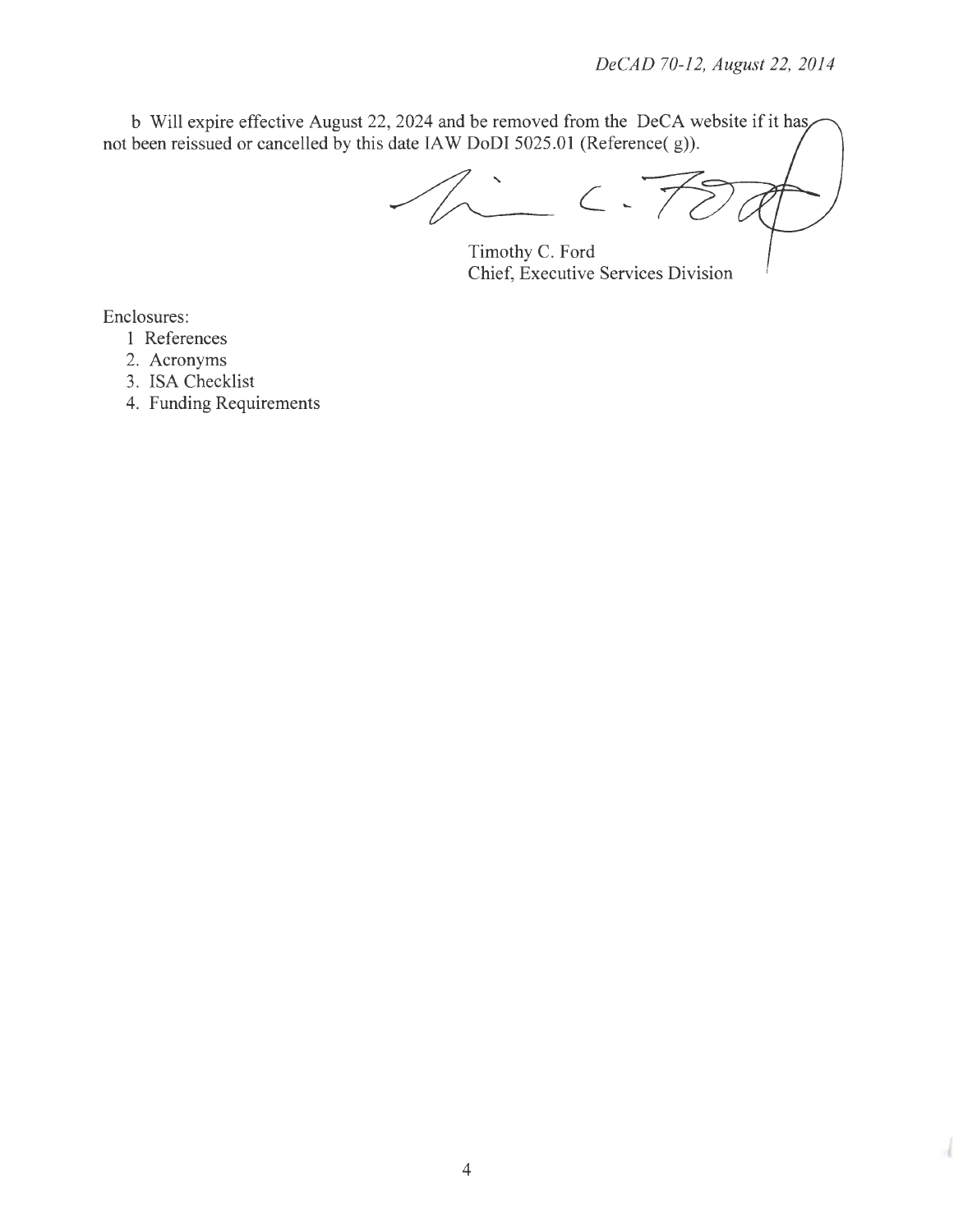b Will expire effective August 22, 2024 and be removed from the DeCA website if it has not been reissued or cancelled by this date IA W DoDI 5025.01 (Reference( g)).

 $7.7$ 

Timothy C. Ford Chief, Executive Services Division

Enclosures:

- 1 References
- 2. Acronyms
- 3. ISA Checklist
- 4. Funding Requirements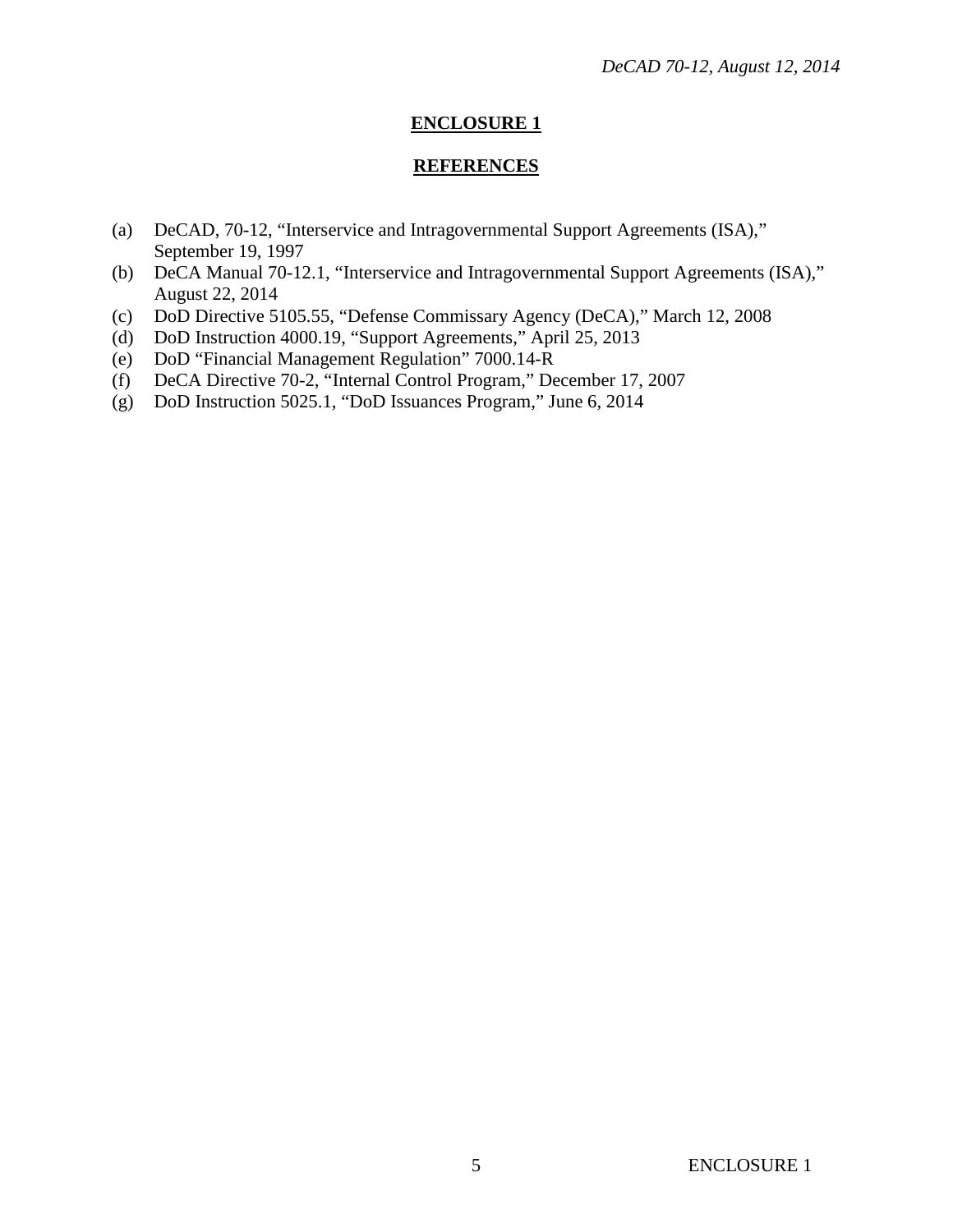#### **REFERENCES**

- (a) DeCAD, 70-12, "Interservice and Intragovernmental Support Agreements (ISA)," September 19, 1997
- (b) DeCA Manual 70-12.1, "Interservice and Intragovernmental Support Agreements (ISA)," August 22, 2014
- (c) DoD Directive 5105.55, "Defense Commissary Agency (DeCA)," March 12, 2008
- (d) DoD Instruction 4000.19, "Support Agreements," April 25, 2013
- (e) DoD "Financial Management Regulation" 7000.14-R
- (f) DeCA Directive 70-2, "Internal Control Program," December 17, 2007
- (g) DoD Instruction 5025.1, "DoD Issuances Program," June 6, 2014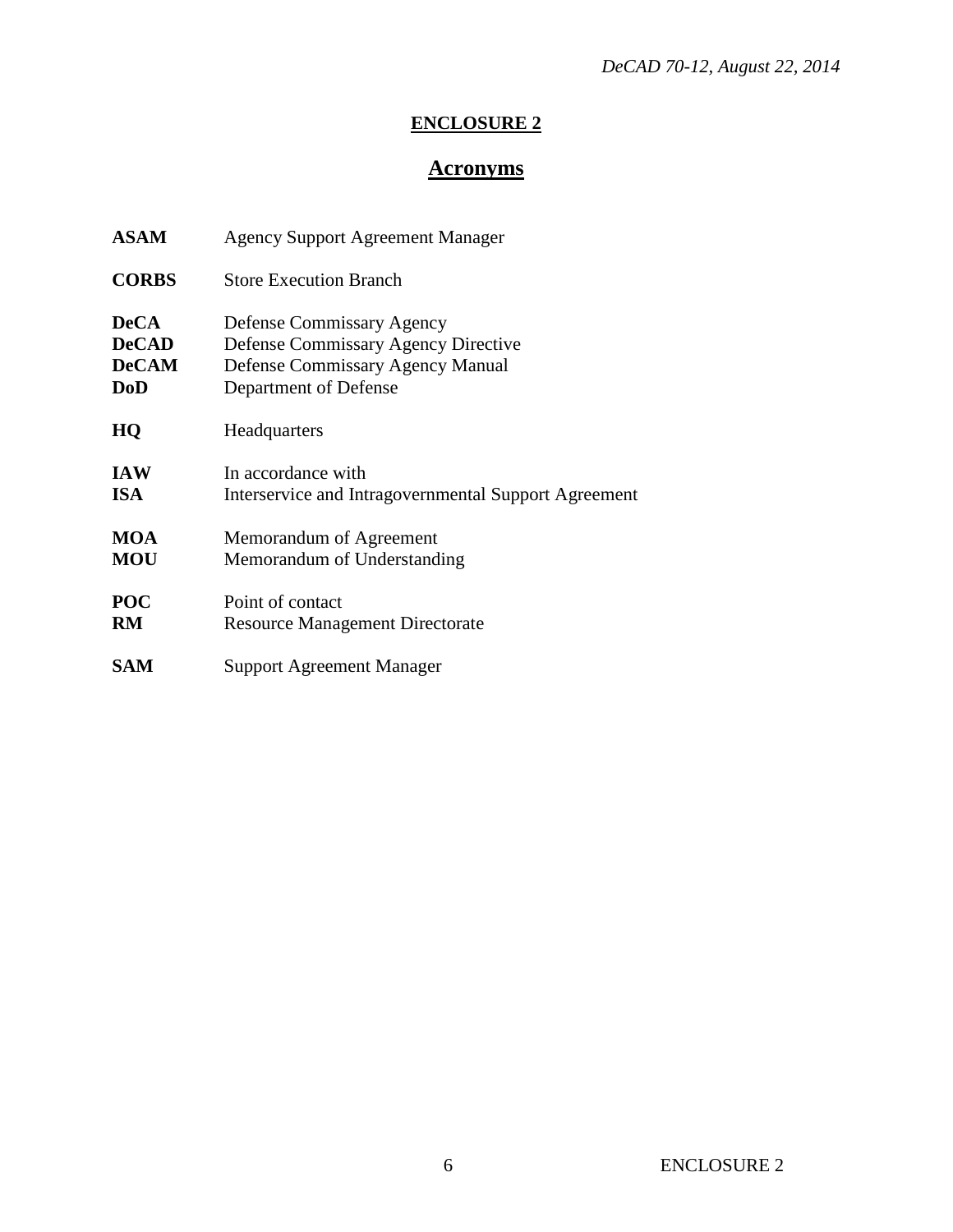# **Acronyms**

| <b>ASAM</b>  | <b>Agency Support Agreement Manager</b>              |
|--------------|------------------------------------------------------|
| <b>CORBS</b> | <b>Store Execution Branch</b>                        |
| <b>DeCA</b>  | Defense Commissary Agency                            |
| <b>DeCAD</b> | <b>Defense Commissary Agency Directive</b>           |
| <b>DeCAM</b> | Defense Commissary Agency Manual                     |
| <b>DoD</b>   | Department of Defense                                |
| HQ           | Headquarters                                         |
| <b>IAW</b>   | In accordance with                                   |
| <b>ISA</b>   | Interservice and Intragovernmental Support Agreement |
| <b>MOA</b>   | Memorandum of Agreement                              |
| <b>MOU</b>   | Memorandum of Understanding                          |
| <b>POC</b>   | Point of contact                                     |
| RM           | <b>Resource Management Directorate</b>               |
| SAM          | Support Agreement Manager                            |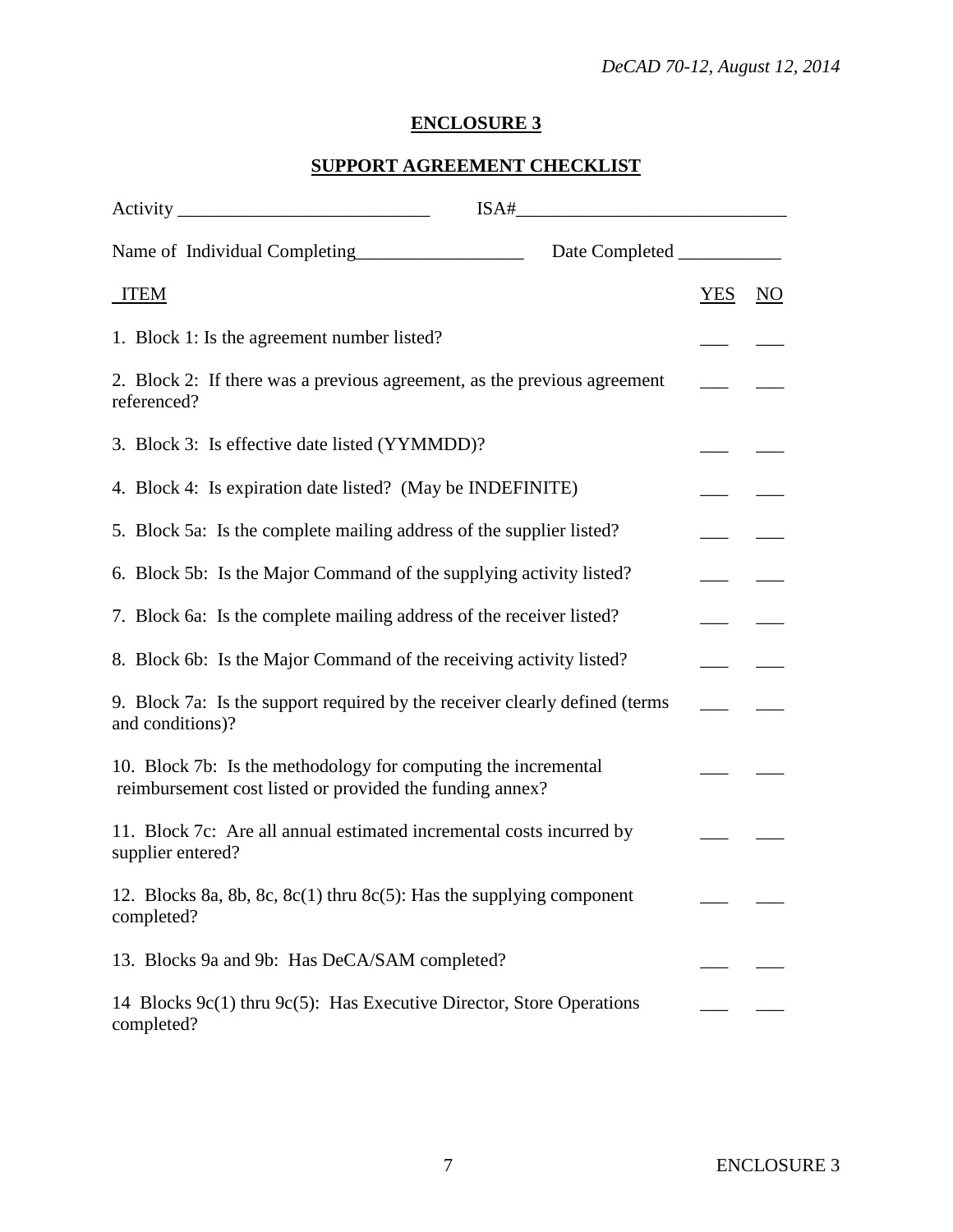# **SUPPORT AGREEMENT CHECKLIST**

|                                                                                                                                                                                                                                                                                 | $\begin{picture}(18,10) \put(0,0){\vector(1,0){100}} \put(15,0){\vector(1,0){100}} \put(15,0){\vector(1,0){100}} \put(15,0){\vector(1,0){100}} \put(15,0){\vector(1,0){100}} \put(15,0){\vector(1,0){100}} \put(15,0){\vector(1,0){100}} \put(15,0){\vector(1,0){100}} \put(15,0){\vector(1,0){100}} \put(15,0){\vector(1,0){100}} \put(15,0){\vector(1,0){100}} \$ |            |                |
|---------------------------------------------------------------------------------------------------------------------------------------------------------------------------------------------------------------------------------------------------------------------------------|---------------------------------------------------------------------------------------------------------------------------------------------------------------------------------------------------------------------------------------------------------------------------------------------------------------------------------------------------------------------|------------|----------------|
| Name of Individual Completing<br><u>Letting</u><br>Letting<br>Letting<br>Letting<br>Letting<br>Letting<br>Letting<br>Letting<br>Letting<br>Letting<br>Letting<br>Letting<br>Letting<br>Letting<br>Letting<br>Letting<br>Letting<br>Letting<br>Letting<br>Letting<br>Letting<br> |                                                                                                                                                                                                                                                                                                                                                                     |            |                |
| <b>ITEM</b>                                                                                                                                                                                                                                                                     |                                                                                                                                                                                                                                                                                                                                                                     | <b>YES</b> | N <sub>O</sub> |
| 1. Block 1: Is the agreement number listed?                                                                                                                                                                                                                                     |                                                                                                                                                                                                                                                                                                                                                                     |            |                |
| 2. Block 2: If there was a previous agreement, as the previous agreement<br>referenced?                                                                                                                                                                                         |                                                                                                                                                                                                                                                                                                                                                                     |            |                |
| 3. Block 3: Is effective date listed (YYMMDD)?                                                                                                                                                                                                                                  |                                                                                                                                                                                                                                                                                                                                                                     |            |                |
| 4. Block 4: Is expiration date listed? (May be INDEFINITE)                                                                                                                                                                                                                      |                                                                                                                                                                                                                                                                                                                                                                     |            |                |
| 5. Block 5a: Is the complete mailing address of the supplier listed?                                                                                                                                                                                                            |                                                                                                                                                                                                                                                                                                                                                                     |            |                |
| 6. Block 5b: Is the Major Command of the supplying activity listed?                                                                                                                                                                                                             |                                                                                                                                                                                                                                                                                                                                                                     |            |                |
| 7. Block 6a: Is the complete mailing address of the receiver listed?                                                                                                                                                                                                            |                                                                                                                                                                                                                                                                                                                                                                     |            |                |
| 8. Block 6b: Is the Major Command of the receiving activity listed?                                                                                                                                                                                                             |                                                                                                                                                                                                                                                                                                                                                                     |            |                |
| 9. Block 7a: Is the support required by the receiver clearly defined (terms<br>and conditions)?                                                                                                                                                                                 |                                                                                                                                                                                                                                                                                                                                                                     |            |                |
| 10. Block 7b: Is the methodology for computing the incremental<br>reimbursement cost listed or provided the funding annex?                                                                                                                                                      |                                                                                                                                                                                                                                                                                                                                                                     |            |                |
| 11. Block 7c: Are all annual estimated incremental costs incurred by<br>supplier entered?                                                                                                                                                                                       |                                                                                                                                                                                                                                                                                                                                                                     |            |                |
| 12. Blocks 8a, 8b, 8c, 8c(1) thru 8c(5): Has the supplying component<br>completed?                                                                                                                                                                                              |                                                                                                                                                                                                                                                                                                                                                                     |            |                |
| 13. Blocks 9a and 9b: Has DeCA/SAM completed?                                                                                                                                                                                                                                   |                                                                                                                                                                                                                                                                                                                                                                     |            |                |
| 14 Blocks 9c(1) thru 9c(5): Has Executive Director, Store Operations<br>completed?                                                                                                                                                                                              |                                                                                                                                                                                                                                                                                                                                                                     |            |                |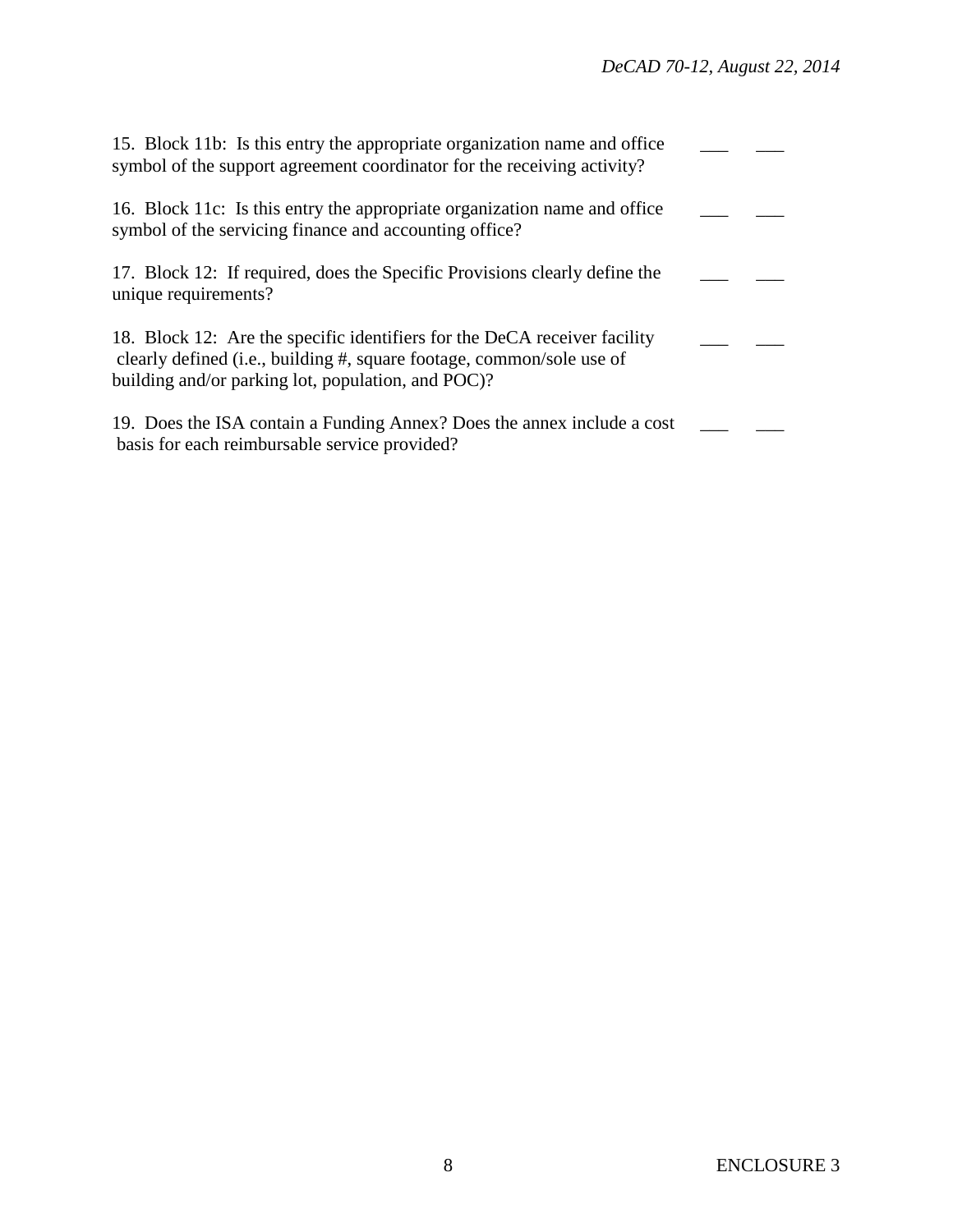| 15. Block 11b: Is this entry the appropriate organization name and office<br>symbol of the support agreement coordinator for the receiving activity?                                                     |  |
|----------------------------------------------------------------------------------------------------------------------------------------------------------------------------------------------------------|--|
| 16. Block 11c: Is this entry the appropriate organization name and office<br>symbol of the servicing finance and accounting office?                                                                      |  |
| 17. Block 12: If required, does the Specific Provisions clearly define the<br>unique requirements?                                                                                                       |  |
| 18. Block 12: Are the specific identifiers for the DeCA receiver facility<br>clearly defined (i.e., building #, square footage, common/sole use of<br>building and/or parking lot, population, and POC)? |  |
| 19. Does the ISA contain a Funding Annex? Does the annex include a cost<br>basis for each reimbursable service provided?                                                                                 |  |